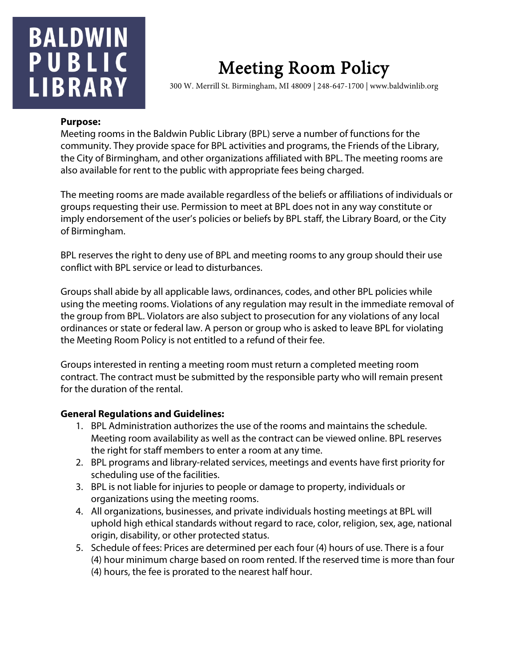## **BALDWIN** PUBLIC **LIBRARY**

# Meeting Room Policy 300 W. Merrill St. Birmingham, MI 48009 | 248-647-1700 | www.baldwinlib.org

#### **Purpose:**

Meeting rooms in the Baldwin Public Library (BPL) serve a number of functions for the community. They provide space for BPL activities and programs, the Friends of the Library, the City of Birmingham, and other organizations affiliated with BPL. The meeting rooms are also available for rent to the public with appropriate fees being charged.

The meeting rooms are made available regardless of the beliefs or affiliations of individuals or groups requesting their use. Permission to meet at BPL does not in any way constitute or imply endorsement of the user's policies or beliefs by BPL staff, the Library Board, or the City of Birmingham.

BPL reserves the right to deny use of BPL and meeting rooms to any group should their use conflict with BPL service or lead to disturbances.

Groups shall abide by all applicable laws, ordinances, codes, and other BPL policies while using the meeting rooms. Violations of any regulation may result in the immediate removal of the group from BPL. Violators are also subject to prosecution for any violations of any local ordinances or state or federal law. A person or group who is asked to leave BPL for violating the Meeting Room Policy is not entitled to a refund of their fee.

Groups interested in renting a meeting room must return a completed meeting room contract. The contract must be submitted by the responsible party who will remain present for the duration of the rental.

#### **General Regulations and Guidelines:**

- 1. BPL Administration authorizes the use of the rooms and maintains the schedule. Meeting room availability as well as the contract can be viewed online. BPL reserves the right for staff members to enter a room at any time.
- 2. BPL programs and library-related services, meetings and events have first priority for scheduling use of the facilities.
- 3. BPL is not liable for injuries to people or damage to property, individuals or organizations using the meeting rooms.
- 4. All organizations, businesses, and private individuals hosting meetings at BPL will uphold high ethical standards without regard to race, color, religion, sex, age, national origin, disability, or other protected status.
- 5. Schedule of fees: Prices are determined per each four (4) hours of use. There is a four (4) hour minimum charge based on room rented. If the reserved time is more than four (4) hours, the fee is prorated to the nearest half hour.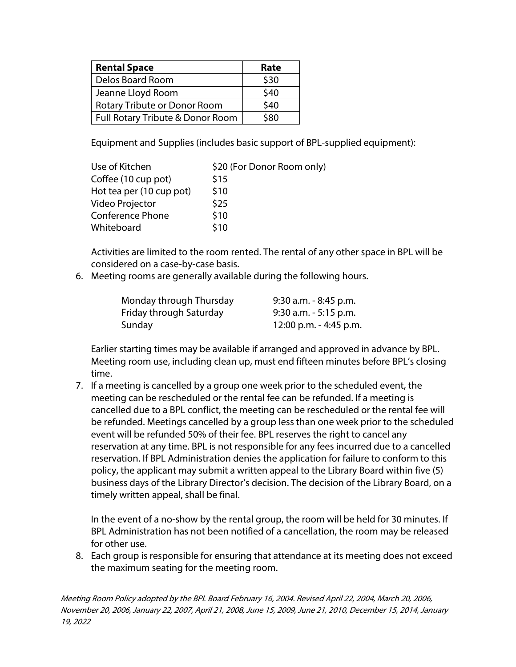| <b>Rental Space</b>              | Rate |
|----------------------------------|------|
| Delos Board Room                 | \$30 |
| Jeanne Lloyd Room                | \$40 |
| Rotary Tribute or Donor Room     | \$40 |
| Full Rotary Tribute & Donor Room | \$80 |

Equipment and Supplies (includes basic support of BPL-supplied equipment):

| Use of Kitchen           | \$20 (For Donor Room only) |
|--------------------------|----------------------------|
| Coffee (10 cup pot)      | \$15                       |
| Hot tea per (10 cup pot) | \$10                       |
| Video Projector          | \$25                       |
| <b>Conference Phone</b>  | \$10                       |
| Whiteboard               | \$10                       |

Activities are limited to the room rented. The rental of any other space in BPL will be considered on a case-by-case basis.

6. Meeting rooms are generally available during the following hours.

| Monday through Thursday | $9:30$ a.m. $-8:45$ p.m. |
|-------------------------|--------------------------|
| Friday through Saturday | $9:30$ a.m. $-5:15$ p.m. |
| Sunday                  | 12:00 p.m. - 4:45 p.m.   |

Earlier starting times may be available if arranged and approved in advance by BPL. Meeting room use, including clean up, must end fifteen minutes before BPL's closing time.

7. If a meeting is cancelled by a group one week prior to the scheduled event, the meeting can be rescheduled or the rental fee can be refunded. If a meeting is cancelled due to a BPL conflict, the meeting can be rescheduled or the rental fee will be refunded. Meetings cancelled by a group less than one week prior to the scheduled event will be refunded 50% of their fee. BPL reserves the right to cancel any reservation at any time. BPL is not responsible for any fees incurred due to a cancelled reservation. If BPL Administration denies the application for failure to conform to this policy, the applicant may submit a written appeal to the Library Board within five (5) business days of the Library Director's decision. The decision of the Library Board, on a timely written appeal, shall be final.

In the event of a no-show by the rental group, the room will be held for 30 minutes. If BPL Administration has not been notified of a cancellation, the room may be released for other use.

8. Each group is responsible for ensuring that attendance at its meeting does not exceed the maximum seating for the meeting room.

Meeting Room Policy adopted by the BPL Board February 16, 2004. Revised April 22, 2004, March 20, 2006, November 20, 2006, January 22, 2007, April 21, 2008, June 15, 2009, June 21, 2010, December 15, 2014, January 19, 2022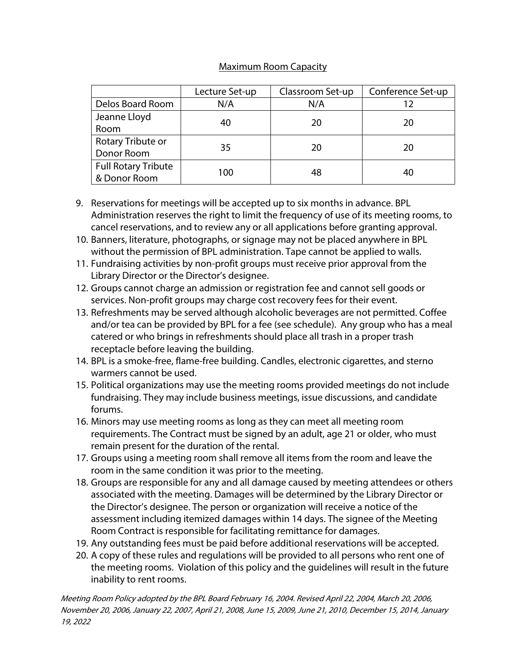### Maximum Room Capacity

|                            | Lecture Set-up | Classroom Set-up | Conference Set-up |
|----------------------------|----------------|------------------|-------------------|
| Delos Board Room           | N/A            | N/A              |                   |
| Jeanne Lloyd               |                | 20               | 20                |
| Room                       | 40             |                  |                   |
| Rotary Tribute or          | 35             | 20               | 20                |
| Donor Room                 |                |                  |                   |
| <b>Full Rotary Tribute</b> | 100            | 48               |                   |
| & Donor Room               |                |                  | 40                |

- 9. Reservations for meetings will be accepted up to six months in advance. BPL Administration reserves the right to limit the frequency of use of its meeting rooms, to cancel reservations, and to review any or all applications before granting approval.
- 10. Banners, literature, photographs, or signage may not be placed anywhere in BPL without the permission of BPL administration. Tape cannot be applied to walls.
- 11. Fundraising activities by non-profit groups must receive prior approval from the Library Director or the Director's designee.
- 12. Groups cannot charge an admission or registration fee and cannot sell goods or services. Non-profit groups may charge cost recovery fees for their event.
- 13. Refreshments may be served although alcoholic beverages are not permitted. Coffee and/or tea can be provided by BPL for a fee (see schedule). Any group who has a meal catered or who brings in refreshments should place all trash in a proper trash receptacle before leaving the building.
- 14. BPL is a smoke-free, flame-free building. Candles, electronic cigarettes, and sterno warmers cannot be used.
- 15. Political organizations may use the meeting rooms provided meetings do not include fundraising. They may include business meetings, issue discussions, and candidate forums.
- 16. Minors may use meeting rooms as long as they can meet all meeting room requirements. The Contract must be signed by an adult, age 21 or older, who must remain present for the duration of the rental.
- 17. Groups using a meeting room shall remove all items from the room and leave the room in the same condition it was prior to the meeting.
- 18. Groups are responsible for any and all damage caused by meeting attendees or others associated with the meeting. Damages will be determined by the Library Director or the Director's designee. The person or organization will receive a notice of the assessment including itemized damages within 14 days. The signee of the Meeting Room Contract is responsible for facilitating remittance for damages.
- 19. Any outstanding fees must be paid before additional reservations will be accepted.
- 20. A copy of these rules and regulations will be provided to all persons who rent one of the meeting rooms. Violation of this policy and the guidelines will result in the future inability to rent rooms.

Meeting Room Policy adopted by the BPL Board February 16, 2004. Revised April 22, 2004, March 20, 2006, November 20, 2006, January 22, 2007, April 21, 2008, June 15, 2009, June 21, 2010, December 15, 2014, January 19, 2022